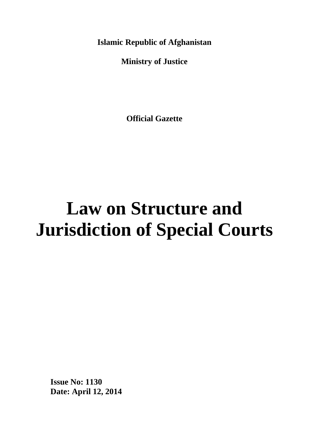**Islamic Republic of Afghanistan**

**Ministry of Justice**

**Official Gazette**

# **Law on Structure and Jurisdiction of Special Courts**

**Issue No: 1130 Date: April 12, 2014**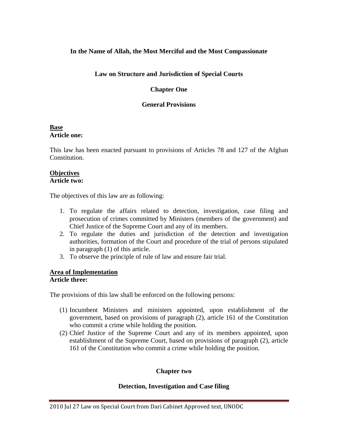## **In the Name of Allah, the Most Merciful and the Most Compassionate**

## **Law on Structure and Jurisdiction of Special Courts**

## **Chapter One**

## **General Provisions**

#### **Base Article one:**

This law has been enacted pursuant to provisions of Articles 78 and 127 of the Afghan Constitution.

#### **Objectives Article two:**

The objectives of this law are as following:

- 1. To regulate the affairs related to detection, investigation, case filing and prosecution of crimes committed by Ministers (members of the government) and Chief Justice of the Supreme Court and any of its members.
- 2. To regulate the duties and jurisdiction of the detection and investigation authorities, formation of the Court and procedure of the trial of persons stipulated in paragraph (1) of this article.
- 3. To observe the principle of rule of law and ensure fair trial.

## **Area of Implementation**

## **Article three:**

The provisions of this law shall be enforced on the following persons:

- (1) Incumbent Ministers and ministers appointed, upon establishment of the government, based on provisions of paragraph (2), article 161 of the Constitution who commit a crime while holding the position.
- (2) Chief Justice of the Supreme Court and any of its members appointed, upon establishment of the Supreme Court, based on provisions of paragraph (2), article 161 of the Constitution who commit a crime while holding the position.

## **Chapter two**

## **Detection, Investigation and Case filing**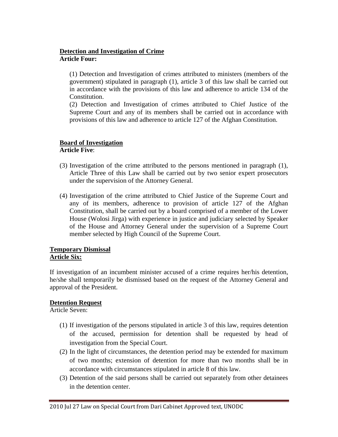## **Detection and Investigation of Crime Article Four:**

(1) Detection and Investigation of crimes attributed to ministers (members of the government) stipulated in paragraph (1), article 3 of this law shall be carried out in accordance with the provisions of this law and adherence to article 134 of the Constitution.

(2) Detection and Investigation of crimes attributed to Chief Justice of the Supreme Court and any of its members shall be carried out in accordance with provisions of this law and adherence to article 127 of the Afghan Constitution.

## **Board of Investigation**

**Article Five**:

- (3) Investigation of the crime attributed to the persons mentioned in paragraph (1), Article Three of this Law shall be carried out by two senior expert prosecutors under the supervision of the Attorney General.
- (4) Investigation of the crime attributed to Chief Justice of the Supreme Court and any of its members, adherence to provision of article 127 of the Afghan Constitution, shall be carried out by a board comprised of a member of the Lower House (Wolosi Jirga) with experience in justice and judiciary selected by Speaker of the House and Attorney General under the supervision of a Supreme Court member selected by High Council of the Supreme Court.

#### **Temporary Dismissal Article Six:**

If investigation of an incumbent minister accused of a crime requires her/his detention, he/she shall temporarily be dismissed based on the request of the Attorney General and approval of the President.

## **Detention Request**

Article Seven:

- (1) If investigation of the persons stipulated in article 3 of this law, requires detention of the accused, permission for detention shall be requested by head of investigation from the Special Court.
- (2) In the light of circumstances, the detention period may be extended for maximum of two months; extension of detention for more than two months shall be in accordance with circumstances stipulated in article 8 of this law.
- (3) Detention of the said persons shall be carried out separately from other detainees in the detention center.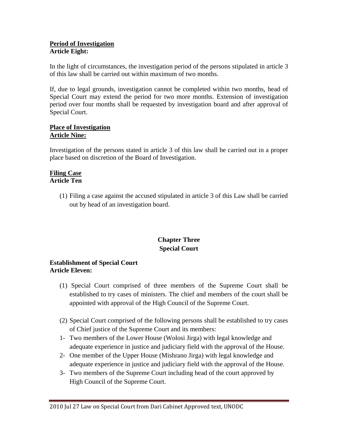## **Period of Investigation Article Eight:**

In the light of circumstances, the investigation period of the persons stipulated in article 3 of this law shall be carried out within maximum of two months.

If, due to legal grounds, investigation cannot be completed within two months, head of Special Court may extend the period for two more months. Extension of investigation period over four months shall be requested by investigation board and after approval of Special Court.

#### **Place of Investigation Article Nine:**

Investigation of the persons stated in article 3 of this law shall be carried out in a proper place based on discretion of the Board of Investigation.

#### **Filing Case Article Ten**

(1) Filing a case against the accused stipulated in article 3 of this Law shall be carried out by head of an investigation board.

## **Chapter Three Special Court**

## **Establishment of Special Court Article Eleven:**

- (1) Special Court comprised of three members of the Supreme Court shall be established to try cases of ministers. The chief and members of the court shall be appointed with approval of the High Council of the Supreme Court.
- (2) Special Court comprised of the following persons shall be established to try cases of Chief justice of the Supreme Court and its members:
- 1- Two members of the Lower House (Wolosi Jirga) with legal knowledge and adequate experience in justice and judiciary field with the approval of the House.
- 2- One member of the Upper House (Mishrano Jirga) with legal knowledge and adequate experience in justice and judiciary field with the approval of the House.
- 3- Two members of the Supreme Court including head of the court approved by High Council of the Supreme Court.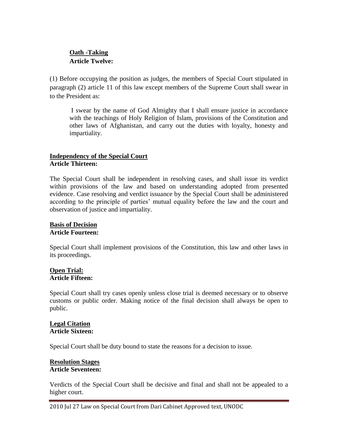## **Oath -Taking Article Twelve:**

(1) Before occupying the position as judges, the members of Special Court stipulated in paragraph (2) article 11 of this law except members of the Supreme Court shall swear in to the President as:

I swear by the name of God Almighty that I shall ensure justice in accordance with the teachings of Holy Religion of Islam, provisions of the Constitution and other laws of Afghanistan, and carry out the duties with loyalty, honesty and impartiality.

## **Independency of the Special Court Article Thirteen:**

The Special Court shall be independent in resolving cases, and shall issue its verdict within provisions of the law and based on understanding adopted from presented evidence. Case resolving and verdict issuance by the Special Court shall be administered according to the principle of parties' mutual equality before the law and the court and observation of justice and impartiality.

#### **Basis of Decision Article Fourteen:**

Special Court shall implement provisions of the Constitution, this law and other laws in its proceedings.

#### **Open Trial: Article Fifteen:**

Special Court shall try cases openly unless close trial is deemed necessary or to observe customs or public order. Making notice of the final decision shall always be open to public.

## **Legal Citation Article Sixteen:**

Special Court shall be duty bound to state the reasons for a decision to issue.

#### **Resolution Stages Article Seventeen:**

Verdicts of the Special Court shall be decisive and final and shall not be appealed to a higher court.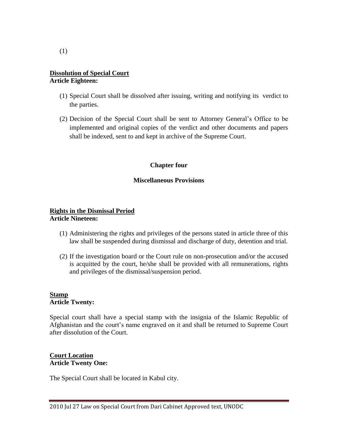## **Dissolution of Special Court Article Eighteen:**

- (1) Special Court shall be dissolved after issuing, writing and notifying its verdict to the parties.
- (2) Decision of the Special Court shall be sent to Attorney General's Office to be implemented and original copies of the verdict and other documents and papers shall be indexed, sent to and kept in archive of the Supreme Court.

## **Chapter four**

## **Miscellaneous Provisions**

#### **Rights in the Dismissal Period Article Nineteen:**

- (1) Administering the rights and privileges of the persons stated in article three of this law shall be suspended during dismissal and discharge of duty, detention and trial.
- (2) If the investigation board or the Court rule on non-prosecution and/or the accused is acquitted by the court, he/she shall be provided with all remunerations, rights and privileges of the dismissal/suspension period.

#### **Stamp Article Twenty:**

Special court shall have a special stamp with the insignia of the Islamic Republic of Afghanistan and the court's name engraved on it and shall be returned to Supreme Court after dissolution of the Court.

## **Court Location Article Twenty One:**

The Special Court shall be located in Kabul city.